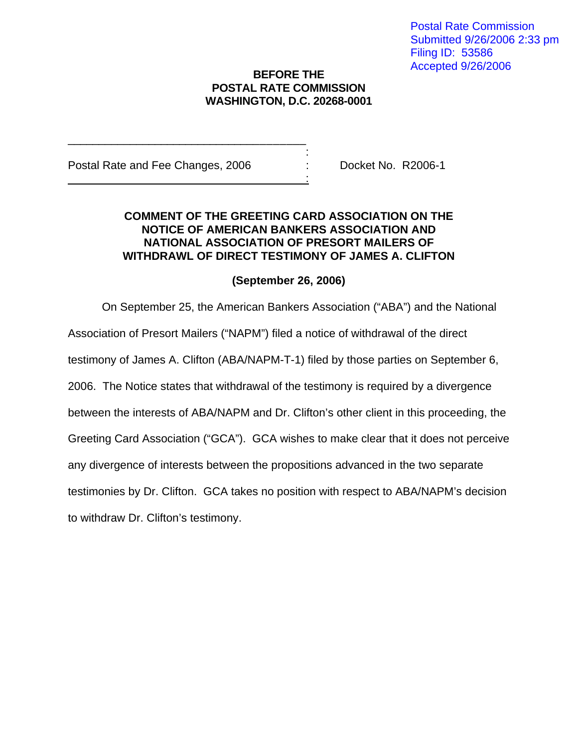## **BEFORE THE POSTAL RATE COMMISSION WASHINGTON, D.C. 20268-0001**

Postal Rate and Fee Changes, 2006 : Docket No. R2006-1

\_\_\_\_\_\_\_\_\_\_\_\_\_\_\_\_\_\_\_\_\_\_\_\_\_\_\_\_\_\_\_\_\_\_\_\_\_\_ the contract of the contract of the contract of the contract of

<u>: Andrew Maria (1995)</u>

## **COMMENT OF THE GREETING CARD ASSOCIATION ON THE NOTICE OF AMERICAN BANKERS ASSOCIATION AND NATIONAL ASSOCIATION OF PRESORT MAILERS OF WITHDRAWL OF DIRECT TESTIMONY OF JAMES A. CLIFTON**

## **(September 26, 2006)**

On September 25, the American Bankers Association ("ABA") and the National

Association of Presort Mailers ("NAPM") filed a notice of withdrawal of the direct

testimony of James A. Clifton (ABA/NAPM-T-1) filed by those parties on September 6,

2006. The Notice states that withdrawal of the testimony is required by a divergence

between the interests of ABA/NAPM and Dr. Clifton's other client in this proceeding, the

Greeting Card Association ("GCA"). GCA wishes to make clear that it does not perceive

any divergence of interests between the propositions advanced in the two separate

testimonies by Dr. Clifton. GCA takes no position with respect to ABA/NAPM's decision

to withdraw Dr. Clifton's testimony.